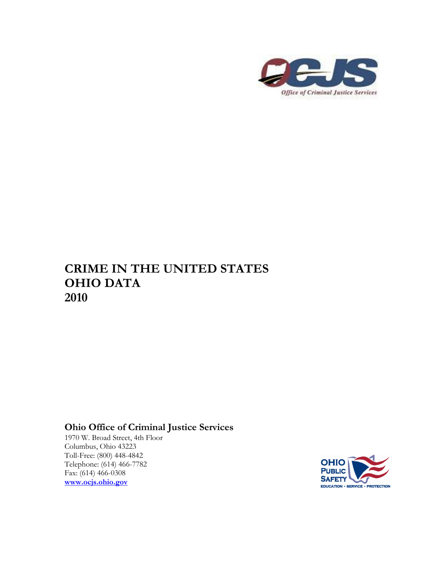

## **CRIME IN THE UNITED STATES OHIO DATA 2010**

## **Ohio Office of Criminal Justice Services**

1970 W. Broad Street, 4th Floor Columbus, Ohio 43223 Toll-Free: (800) 448-4842 Telephone: (614) 466-7782 Fax: (614) 466-0308 **[www.ocjs.ohio.gov](http://www.ocjs.ohio.gov/)**

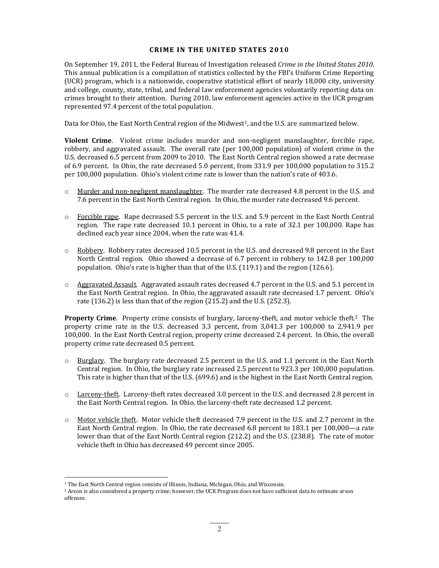## **CRIME IN THE UNITED STATES 2010**

On September 19, 2011, the Federal Bureau of Investigation released *Crime in the United States 2010*. This annual publication is a compilation of statistics collected by the FBI's Uniform Crime Reporting (UCR) program, which is a nationwide, cooperative statistical effort of nearly 18,000 city, university and college, county, state, tribal, and federal law enforcement agencies voluntarily reporting data on crimes brought to their attention. During 2010, law enforcement agencies active in the UCR program represented 97.4 percent of the total population.

Data for Ohio, the East North Central region of the Midwest<sup>1</sup>, and the U.S. are summarized below.

**Violent Crime**. Violent crime includes murder and non-negligent manslaughter, forcible rape, robbery, and aggravated assault. The overall rate (per 100,000 population) of violent crime in the U.S. decreased 6.5 percent from 2009 to 2010. The East North Central region showed a rate decrease of 6.9 percent. In Ohio, the rate decreased 5.0 percent, from 331.9 per 100,000 population to 315.2 per 100,000 population. Ohio's violent crime rate is lower than the nation's rate of 403.6.

- $\circ$  Murder and non-negligent manslaughter. The murder rate decreased 4.8 percent in the U.S. and 7.6 percent in the East North Central region. In Ohio, the murder rate decreased 9.6 percent.
- $\circ$  Forcible rape. Rape decreased 5.5 percent in the U.S. and 5.9 percent in the East North Central region. The rape rate decreased 10.1 percent in Ohio, to a rate of 32.1 per 100,000. Rape has declined each year since 2004, when the rate was 41.4.
- o Robbery. Robbery rates decreased 10.5 percent in the U.S. and decreased 9.8 percent in the East North Central region. Ohio showed a decrease of 6.7 percent in robbery to 142.8 per 100,000 population. Ohio's rate is higher than that of the U.S. (119.1) and the region (126.6).
- o Aggravated Assault. Aggravated assault rates decreased 4.7 percent in the U.S. and 5.1 percent in the East North Central region. In Ohio, the aggravated assault rate decreased 1.7 percent. Ohio's rate (136.2) is less than that of the region (215.2) and the U.S. (252.3).

**Property Crime.** Property crime consists of burglary, larceny-theft, and motor vehicle theft.<sup>2</sup> The property crime rate in the U.S. decreased 3.3 percent, from 3,041.3 per 100,000 to 2,941.9 per 100,000. In the East North Central region, property crime decreased 2.4 percent. In Ohio, the overall property crime rate decreased 0.5 percent.

- $\circ$  Burglary. The burglary rate decreased 2.5 percent in the U.S. and 1.1 percent in the East North Central region. In Ohio, the burglary rate increased 2.5 percent to 923.3 per 100,000 population. This rate is higher than that of the U.S. (699.6) and is the highest in the East North Central region.
- o Larceny-theft. Larceny-theft rates decreased 3.0 percent in the U.S. and decreased 2.8 percent in the East North Central region. In Ohio, the larceny-theft rate decreased 1.2 percent.
- o Motor vehicle theft. Motor vehicle theft decreased 7.9 percent in the U.S. and 2.7 percent in the East North Central region. In Ohio, the rate decreased 6.8 percent to 183.1 per 100,000—a rate lower than that of the East North Central region (212.2) and the U.S. (238.8). The rate of motor vehicle theft in Ohio has decreased 49 percent since 2005.

 $\overline{a}$ 

<sup>&</sup>lt;sup>1</sup> The East North Central region consists of Illinois, Indiana, Michigan, Ohio, and Wisconsin.

<sup>&</sup>lt;sup>2</sup> Arson is also considered a property crime; however, the UCR Program does not have sufficient data to estimate arson offenses.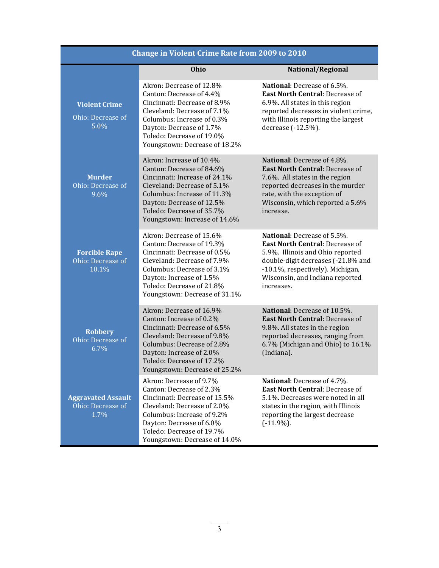| <b>Change in Violent Crime Rate from 2009 to 2010</b>  |                                                                                                                                                                                                                                                 |                                                                                                                                                                                                                                      |  |
|--------------------------------------------------------|-------------------------------------------------------------------------------------------------------------------------------------------------------------------------------------------------------------------------------------------------|--------------------------------------------------------------------------------------------------------------------------------------------------------------------------------------------------------------------------------------|--|
|                                                        | <b>Ohio</b>                                                                                                                                                                                                                                     | National/Regional                                                                                                                                                                                                                    |  |
| <b>Violent Crime</b><br>Ohio: Decrease of<br>5.0%      | Akron: Decrease of 12.8%<br>Canton: Decrease of 4.4%<br>Cincinnati: Decrease of 8.9%<br>Cleveland: Decrease of 7.1%<br>Columbus: Increase of 0.3%<br>Dayton: Decrease of 1.7%<br>Toledo: Decrease of 19.0%<br>Youngstown: Decrease of 18.2%     | <b>National:</b> Decrease of 6.5%.<br><b>East North Central: Decrease of</b><br>6.9%. All states in this region<br>reported decreases in violent crime,<br>with Illinois reporting the largest<br>decrease (-12.5%).                 |  |
| <b>Murder</b><br>Ohio: Decrease of<br>$9.6\%$          | Akron: Increase of 10.4%<br>Canton: Decrease of 84.6%<br>Cincinnati: Increase of 24.1%<br>Cleveland: Decrease of 5.1%<br>Columbus: Increase of 11.3%<br>Dayton: Decrease of 12.5%<br>Toledo: Decrease of 35.7%<br>Youngstown: Increase of 14.6% | National: Decrease of 4.8%.<br><b>East North Central: Decrease of</b><br>7.6%. All states in the region<br>reported decreases in the murder<br>rate, with the exception of<br>Wisconsin, which reported a 5.6%<br>increase.          |  |
| <b>Forcible Rape</b><br>Ohio: Decrease of<br>10.1%     | Akron: Decrease of 15.6%<br>Canton: Decrease of 19.3%<br>Cincinnati: Decrease of 0.5%<br>Cleveland: Decrease of 7.9%<br>Columbus: Decrease of 3.1%<br>Dayton: Increase of 1.5%<br>Toledo: Decrease of 21.8%<br>Youngstown: Decrease of 31.1%    | National: Decrease of 5.5%.<br><b>East North Central: Decrease of</b><br>5.9%. Illinois and Ohio reported<br>double-digit decreases (-21.8% and<br>-10.1%, respectively). Michigan,<br>Wisconsin, and Indiana reported<br>increases. |  |
| <b>Robbery</b><br>Ohio: Decrease of<br>6.7%            | Akron: Decrease of 16.9%<br>Canton: Increase of 0.2%<br>Cincinnati: Decrease of 6.5%<br>Cleveland: Decrease of 9.8%<br>Columbus: Decrease of 2.8%<br>Dayton: Increase of 2.0%<br>Toledo: Decrease of 17.2%<br>Youngstown: Decrease of 25.2%     | National: Decrease of 10.5%.<br><b>East North Central: Decrease of</b><br>9.8%. All states in the region<br>reported decreases, ranging from<br>6.7% (Michigan and Ohio) to 16.1%<br>(Indiana).                                      |  |
| <b>Aggravated Assault</b><br>Ohio: Decrease of<br>1.7% | Akron: Decrease of 9.7%<br>Canton: Decrease of 2.3%<br>Cincinnati: Decrease of 15.5%<br>Cleveland: Decrease of 2.0%<br>Columbus: Increase of 9.2%<br>Dayton: Decrease of 6.0%<br>Toledo: Decrease of 19.7%<br>Youngstown: Decrease of 14.0%     | <b>National:</b> Decrease of 4.7%.<br><b>East North Central: Decrease of</b><br>5.1%. Decreases were noted in all<br>states in the region, with Illinois<br>reporting the largest decrease<br>$(-11.9\%).$                           |  |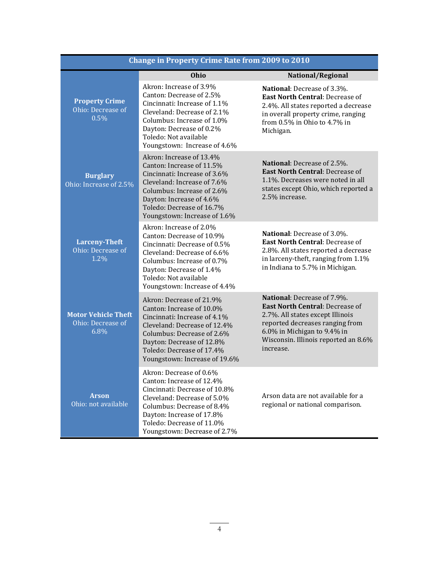| <b>Change in Property Crime Rate from 2009 to 2010</b>  |                                                                                                                                                                                                                                                |                                                                                                                                                                                                                                  |  |
|---------------------------------------------------------|------------------------------------------------------------------------------------------------------------------------------------------------------------------------------------------------------------------------------------------------|----------------------------------------------------------------------------------------------------------------------------------------------------------------------------------------------------------------------------------|--|
|                                                         | Ohio                                                                                                                                                                                                                                           | National/Regional                                                                                                                                                                                                                |  |
| <b>Property Crime</b><br>Ohio: Decrease of<br>0.5%      | Akron: Increase of 3.9%<br>Canton: Decrease of 2.5%<br>Cincinnati: Increase of 1.1%<br>Cleveland: Decrease of 2.1%<br>Columbus: Increase of 1.0%<br>Dayton: Decrease of 0.2%<br>Toledo: Not available<br>Youngstown: Increase of 4.6%          | National: Decrease of 3.3%.<br><b>East North Central: Decrease of</b><br>2.4%. All states reported a decrease<br>in overall property crime, ranging<br>from 0.5% in Ohio to 4.7% in<br>Michigan.                                 |  |
| <b>Burglary</b><br>Ohio: Increase of 2.5%               | Akron: Increase of 13.4%<br>Canton: Increase of 11.5%<br>Cincinnati: Increase of 3.6%<br>Cleveland: Increase of 7.6%<br>Columbus: Increase of 2.6%<br>Dayton: Increase of 4.6%<br>Toledo: Decrease of 16.7%<br>Youngstown: Increase of 1.6%    | National: Decrease of 2.5%.<br><b>East North Central: Decrease of</b><br>1.1%. Decreases were noted in all<br>states except Ohio, which reported a<br>2.5% increase.                                                             |  |
| <b>Larceny-Theft</b><br>Ohio: Decrease of<br>1.2%       | Akron: Increase of 2.0%<br>Canton: Decrease of 10.9%<br>Cincinnati: Decrease of 0.5%<br>Cleveland: Decrease of 6.6%<br>Columbus: Increase of 0.7%<br>Dayton: Decrease of 1.4%<br>Toledo: Not available<br>Youngstown: Increase of 4.4%         | National: Decrease of 3.0%.<br><b>East North Central: Decrease of</b><br>2.8%. All states reported a decrease<br>in larceny-theft, ranging from 1.1%<br>in Indiana to 5.7% in Michigan.                                          |  |
| <b>Motor Vehicle Theft</b><br>Ohio: Decrease of<br>6.8% | Akron: Decrease of 21.9%<br>Canton: Increase of 10.0%<br>Cincinnati: Increase of 4.1%<br>Cleveland: Decrease of 12.4%<br>Columbus: Decrease of 2.6%<br>Dayton: Decrease of 12.8%<br>Toledo: Decrease of 17.4%<br>Youngstown: Increase of 19.6% | National: Decrease of 7.9%.<br><b>East North Central: Decrease of</b><br>2.7%. All states except Illinois<br>reported decreases ranging from<br>6.0% in Michigan to 9.4% in<br>Wisconsin. Illinois reported an 8.6%<br>increase. |  |
| <b>Arson</b><br>Ohio: not available                     | Akron: Decrease of 0.6%<br>Canton: Increase of 12.4%<br>Cincinnati: Decrease of 10.8%<br>Cleveland: Decrease of 5.0%<br>Columbus: Decrease of 8.4%<br>Dayton: Increase of 17.8%<br>Toledo: Decrease of 11.0%<br>Youngstown: Decrease of 2.7%   | Arson data are not available for a<br>regional or national comparison.                                                                                                                                                           |  |